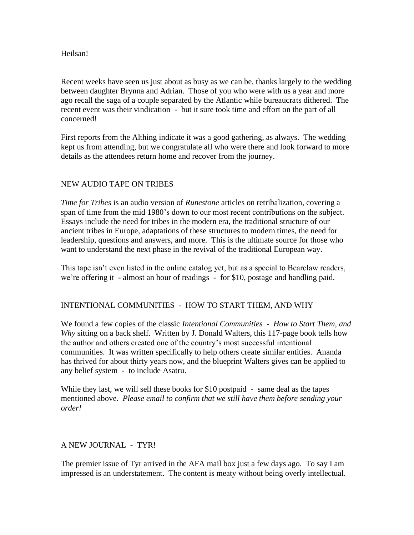## Heilsan!

Recent weeks have seen us just about as busy as we can be, thanks largely to the wedding between daughter Brynna and Adrian. Those of you who were with us a year and more ago recall the saga of a couple separated by the Atlantic while bureaucrats dithered. The recent event was their vindication - but it sure took time and effort on the part of all concerned!

First reports from the Althing indicate it was a good gathering, as always. The wedding kept us from attending, but we congratulate all who were there and look forward to more details as the attendees return home and recover from the journey.

## NEW AUDIO TAPE ON TRIBES

*Time for Tribes* is an audio version of *Runestone* articles on retribalization, covering a span of time from the mid 1980's down to our most recent contributions on the subject. Essays include the need for tribes in the modern era, the traditional structure of our ancient tribes in Europe, adaptations of these structures to modern times, the need for leadership, questions and answers, and more. This is the ultimate source for those who want to understand the next phase in the revival of the traditional European way.

This tape isn't even listed in the online catalog yet, but as a special to Bearclaw readers, we're offering it - almost an hour of readings - for \$10, postage and handling paid.

## INTENTIONAL COMMUNITIES - HOW TO START THEM, AND WHY

We found a few copies of the classic *Intentional Communities - How to Start Them, and Why* sitting on a back shelf. Written by J. Donald Walters, this 117-page book tells how the author and others created one of the country's most successful intentional communities. It was written specifically to help others create similar entities. Ananda has thrived for about thirty years now, and the blueprint Walters gives can be applied to any belief system - to include Asatru.

While they last, we will sell these books for \$10 postpaid - same deal as the tapes mentioned above. *Please email to confirm that we still have them before sending your order!*

## A NEW JOURNAL - TYR!

The premier issue of Tyr arrived in the AFA mail box just a few days ago. To say I am impressed is an understatement. The content is meaty without being overly intellectual.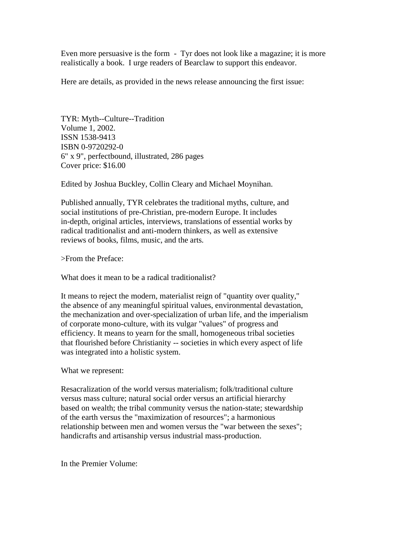Even more persuasive is the form - Tyr does not look like a magazine; it is more realistically a book. I urge readers of Bearclaw to support this endeavor.

Here are details, as provided in the news release announcing the first issue:

TYR: Myth--Culture--Tradition Volume 1, 2002. ISSN 1538-9413 ISBN 0-9720292-0 6" x 9", perfectbound, illustrated, 286 pages Cover price: \$16.00

Edited by Joshua Buckley, Collin Cleary and Michael Moynihan.

Published annually, TYR celebrates the traditional myths, culture, and social institutions of pre-Christian, pre-modern Europe. It includes in-depth, original articles, interviews, translations of essential works by radical traditionalist and anti-modern thinkers, as well as extensive reviews of books, films, music, and the arts.

>From the Preface:

What does it mean to be a radical traditionalist?

It means to reject the modern, materialist reign of "quantity over quality," the absence of any meaningful spiritual values, environmental devastation, the mechanization and over-specialization of urban life, and the imperialism of corporate mono-culture, with its vulgar "values" of progress and efficiency. It means to yearn for the small, homogeneous tribal societies that flourished before Christianity -- societies in which every aspect of life was integrated into a holistic system.

What we represent:

Resacralization of the world versus materialism; folk/traditional culture versus mass culture; natural social order versus an artificial hierarchy based on wealth; the tribal community versus the nation-state; stewardship of the earth versus the "maximization of resources"; a harmonious relationship between men and women versus the "war between the sexes"; handicrafts and artisanship versus industrial mass-production.

In the Premier Volume: